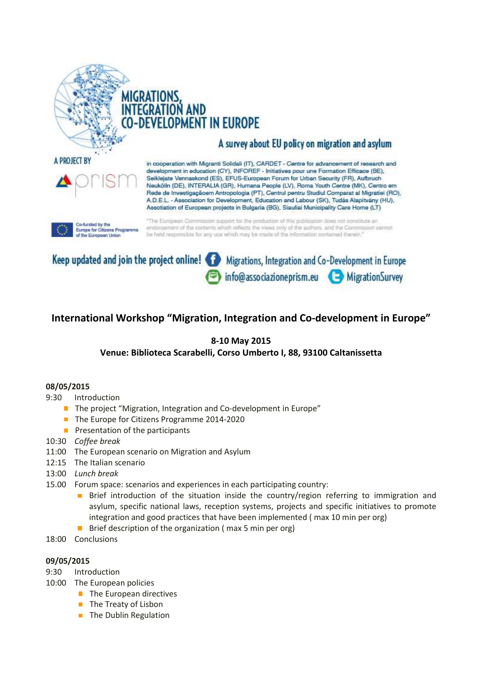

A PROJECT BY

EGRATION AND **FLOPMENT IN EUROPE** 

# A survey about EU policy on migration and asylum

in cooperation with Migranti Solidali (IT), CARDET - Centre for advancement of research and development in education (CY), INFOREF - Initiatives pour une Formation Efficace (BE), Seiklejate Vennaskond (ES), EFUS-European Forum for Urban Security (FR), Aufbruch Neukölin (DE), INTERALIA (GR), Humana People (LV), Roma Youth Centre (MK), Centro em Rede de Investigaçãoem Antropologia (PT), Centrul pentru Studiul Comparat al Migratiei (RO), A.D.E.L. - Association for Development, Education and Labour (SK), Tudás Alapítvány (HU), Assotiation of European projects in Bulgaria (BG), Siauliai Municipality Care Home (LT)

Co-funded by the<br>Europe for Citizens Progr of the European Union

"The European Commission support for the production of this publication does not constitute an endorsement of the contents which reflects the views only of the authors, and the Commission carmot be held responsible for any use which may be made of the information contained therein."



## **International Workshop "Migration, Integration and Co-development in Europe"**

## **8-10 May 2015**

## **Venue: Biblioteca Scarabelli, Corso Umberto I, 88, 93100 Caltanissetta**

#### **08/05/2015**

- 9:30 Introduction
	- The project "Migration, Integration and Co-development in Europe"
	- The Europe for Citizens Programme 2014-2020
	- $\blacksquare$  Presentation of the participants
- 10:30 *Coffee break*
- 11:00 The European scenario on Migration and Asylum
- 12:15 The Italian scenario
- 13:00 *Lunch break*
- 15.00 Forum space: scenarios and experiences in each participating country:
	- Brief introduction of the situation inside the country/region referring to immigration and asylum, specific national laws, reception systems, projects and specific initiatives to promote integration and good practices that have been implemented ( max 10 min per org)
	- Brief description of the organization ( max 5 min per org)
- 18:00 Conclusions

#### **09/05/2015**

- 9:30 Introduction
- 10:00 The European policies
	- $\blacksquare$  The European directives
	- **The Treaty of Lisbon**
	- **The Dublin Regulation**